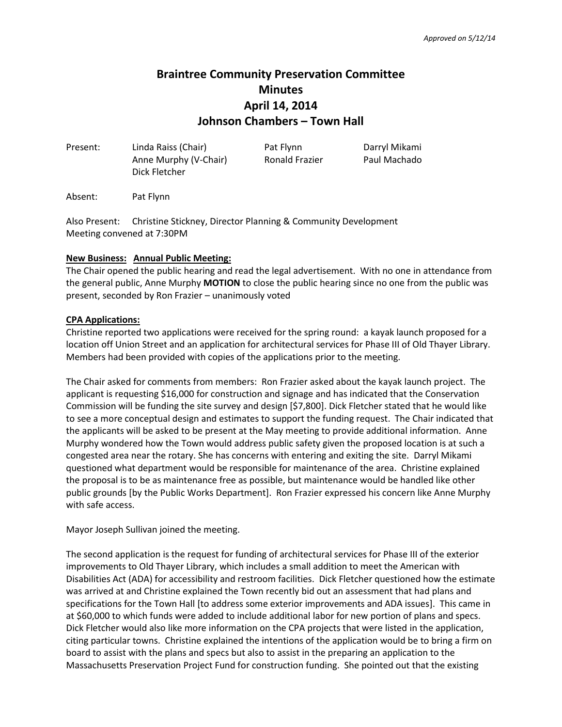# **Braintree Community Preservation Committee Minutes April 14, 2014 Johnson Chambers – Town Hall**

| Present: | Linda Raiss (Chair)<br>Anne Murphy (V-Chair)<br>Dick Fletcher | Pat Flynn<br>Ronald Frazier | Darryl Mikami<br>Paul Machado |
|----------|---------------------------------------------------------------|-----------------------------|-------------------------------|
|          |                                                               |                             |                               |

Absent: Pat Flynn

Also Present: Christine Stickney, Director Planning & Community Development Meeting convened at 7:30PM

### **New Business: Annual Public Meeting:**

The Chair opened the public hearing and read the legal advertisement. With no one in attendance from the general public, Anne Murphy **MOTION** to close the public hearing since no one from the public was present, seconded by Ron Frazier – unanimously voted

## **CPA Applications:**

Christine reported two applications were received for the spring round: a kayak launch proposed for a location off Union Street and an application for architectural services for Phase III of Old Thayer Library. Members had been provided with copies of the applications prior to the meeting.

The Chair asked for comments from members: Ron Frazier asked about the kayak launch project. The applicant is requesting \$16,000 for construction and signage and has indicated that the Conservation Commission will be funding the site survey and design [\$7,800]. Dick Fletcher stated that he would like to see a more conceptual design and estimates to support the funding request. The Chair indicated that the applicants will be asked to be present at the May meeting to provide additional information. Anne Murphy wondered how the Town would address public safety given the proposed location is at such a congested area near the rotary. She has concerns with entering and exiting the site. Darryl Mikami questioned what department would be responsible for maintenance of the area. Christine explained the proposal is to be as maintenance free as possible, but maintenance would be handled like other public grounds [by the Public Works Department]. Ron Frazier expressed his concern like Anne Murphy with safe access.

Mayor Joseph Sullivan joined the meeting.

The second application is the request for funding of architectural services for Phase III of the exterior improvements to Old Thayer Library, which includes a small addition to meet the American with Disabilities Act (ADA) for accessibility and restroom facilities. Dick Fletcher questioned how the estimate was arrived at and Christine explained the Town recently bid out an assessment that had plans and specifications for the Town Hall [to address some exterior improvements and ADA issues]. This came in at \$60,000 to which funds were added to include additional labor for new portion of plans and specs. Dick Fletcher would also like more information on the CPA projects that were listed in the application, citing particular towns. Christine explained the intentions of the application would be to bring a firm on board to assist with the plans and specs but also to assist in the preparing an application to the Massachusetts Preservation Project Fund for construction funding. She pointed out that the existing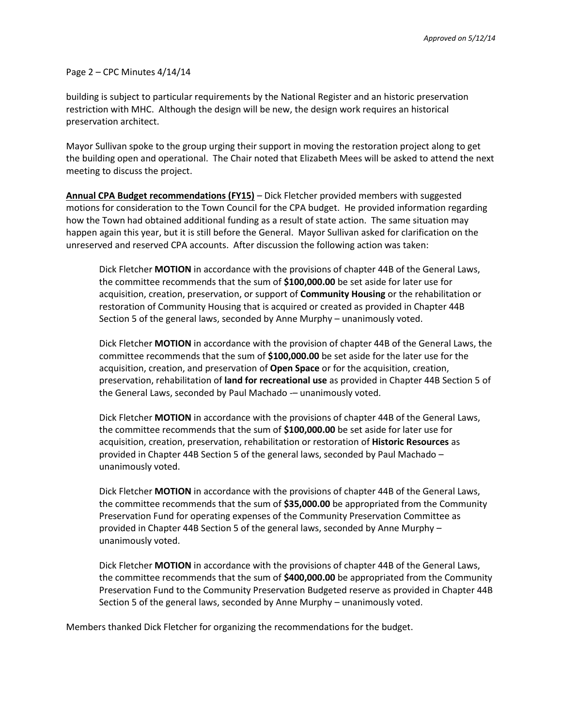#### Page 2 – CPC Minutes 4/14/14

building is subject to particular requirements by the National Register and an historic preservation restriction with MHC. Although the design will be new, the design work requires an historical preservation architect.

Mayor Sullivan spoke to the group urging their support in moving the restoration project along to get the building open and operational. The Chair noted that Elizabeth Mees will be asked to attend the next meeting to discuss the project.

**Annual CPA Budget recommendations (FY15)** – Dick Fletcher provided members with suggested motions for consideration to the Town Council for the CPA budget. He provided information regarding how the Town had obtained additional funding as a result of state action. The same situation may happen again this year, but it is still before the General. Mayor Sullivan asked for clarification on the unreserved and reserved CPA accounts. After discussion the following action was taken:

Dick Fletcher **MOTION** in accordance with the provisions of chapter 44B of the General Laws, the committee recommends that the sum of **\$100,000.00** be set aside for later use for acquisition, creation, preservation, or support of **Community Housing** or the rehabilitation or restoration of Community Housing that is acquired or created as provided in Chapter 44B Section 5 of the general laws, seconded by Anne Murphy – unanimously voted.

Dick Fletcher **MOTION** in accordance with the provision of chapter 44B of the General Laws, the committee recommends that the sum of **\$100,000.00** be set aside for the later use for the acquisition, creation, and preservation of **Open Space** or for the acquisition, creation, preservation, rehabilitation of **land for recreational use** as provided in Chapter 44B Section 5 of the General Laws, seconded by Paul Machado - unanimously voted.

Dick Fletcher **MOTION** in accordance with the provisions of chapter 44B of the General Laws, the committee recommends that the sum of **\$100,000.00** be set aside for later use for acquisition, creation, preservation, rehabilitation or restoration of **Historic Resources** as provided in Chapter 44B Section 5 of the general laws, seconded by Paul Machado – unanimously voted.

Dick Fletcher **MOTION** in accordance with the provisions of chapter 44B of the General Laws, the committee recommends that the sum of **\$35,000.00** be appropriated from the Community Preservation Fund for operating expenses of the Community Preservation Committee as provided in Chapter 44B Section 5 of the general laws, seconded by Anne Murphy – unanimously voted.

Dick Fletcher **MOTION** in accordance with the provisions of chapter 44B of the General Laws, the committee recommends that the sum of **\$400,000.00** be appropriated from the Community Preservation Fund to the Community Preservation Budgeted reserve as provided in Chapter 44B Section 5 of the general laws, seconded by Anne Murphy – unanimously voted.

Members thanked Dick Fletcher for organizing the recommendations for the budget.